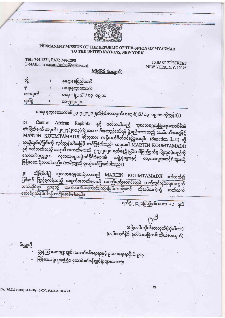

## PERMANENT MISSION OF THE REPUBLIC OF THE UNION OF MYANMAR TO THE UNITED NATIONS, NEW YORK

TEL: 744-1271, FAX: 744-1290 E-MAIL: myanmarmission@verizon.net

10 EAST 77<sup>th</sup>STREET NEW YORK, N.Y. 10075

 $MMRS$  (အထွက်)

| သို့<br>Θ<br>စာအမှတ် | နခဌ၊နေပြည်တော်                    |
|----------------------|-----------------------------------|
|                      | မဖရ၊နယူးယောက်<br>၀၀ ၁၀ ၂ ၂၀၉ ၂၀၀၀ |
|                      |                                   |

မဖရ၊ နယူးယောက်၏ ၂၃-၄-၂၀၂၀ ရက်စွဲပါစာအမှတ်၊ ဝစ၃-၆၂၆/ ဝ၃ ဝ၉ ၁၁ ကိုညွှန်း(။)

Central African Republic နှင့် ပတ်သက်သည့် ကုလသမဂ္ဂလုံခြုံရေးကောင်စီ၏  $\overline{30}$ ဆုံးဖြတ်ချက် အမှတ်၊ ၂၁၂၇(၂၀၁၃)ကို အကောင်အထည်ဖော်ရန် ဖွဲ့စည်းထားသည့် ကော်မတီအနေဖြင့် MARTIN KOUMTAMADJI ဆိုသူအား ကန့်သတ်ပိတ်ပင်ဆို့မှုစာရင်း (Sanction List) သို့ ထည့်သွင်းခဲ့ခြင်းကို ရည်ညွှန်းဝါစာဖြင့် တင်ပြခဲ့ပါသည်။ ယခုအခါ MARTIN KOUMTAMADJI နှင့် ပတ်သက်သည့် အချက် အလက်များကို ၅-၅-၂၀၂၀ ရက်နေ့၌ ပြင်ဆင်ဖြည့်စွက်မှု ပြုလုပ်ခဲ့သည်ကို ကော်မတီဥက္ကဌက ကုလသမဂ္ဂအဖွဲ့ဝင်နိုင်ငံများ၏ အဖွဲ့ ရုံးများနှင့် လေ့လာသူအဆင့်ရုံးများသို့ ဖြန့်ဝေပေးပို့လာပါသည်။ (စာမိတ္တူကို ပူးတွဲတင်ပြအပ်ပါသည်။)

သို့ဖြစ်ပါ၍ ကုလသမဂ္ဂမှပေးပို့လာသည့် MARTIN KOUMTAMADJI ပတ်သက်၍  $\left\vert \vec{u}\right\vert$ .<br>ပြင်ဆင် ဖြည့်စွက်ခဲ့သည့် အချက်အလက်များကို အမည်မည်းစာရင်းတွင် ထည့်သွင်းနိုင်ရေးအတွက် သက်ဆိုင်ရာ ဌာနသို့ ဆက်လက်အကြောင်းကြားခြင်းအပါအဝင် လိုအုပ်သကဲ့သို့ ဆက်လက် ဆောင်ရွက်နိုင်ပါရန် တင်ပြအပ်ပါသည်။

ရက်စွဲ၊ ၂၀၂၀ပြည့်နှစ်၊ မေလ ၁၁ ရက်

 $N_{0}$ အမြဲတမ်းကိုယ်စားလှယ်(ကိုယ်စား) (တင်မောင်နိုင်၊ ဒုတိယအမြဲတမ်းကိုယ်စားလှယ်)

ညွှန်ကြားရေးမှူးချုပ်၊ ကောင်စစ်ရေးရာနှင့် ဥပဒေရေးရာဦးစီးဌာန မြန်မာသံရုံး၊ အဖွဲ့ရုံး၊ ကောင်စစ်ဝန်ချုပ်ရုံးများအားလုံး

FA [MMRS v1.0.0 | Printed By : 0 ON 12/05/2020 00:57:49

မိတ္တူကို-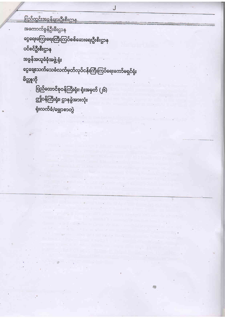```
<u>ပြည်တွင်းအခွန်များဦးစီးဌာန</u>
အကောက်ခွန်ဦးစီးဌာန
ငွေရေးကြေးရေးကြီးကြပ်စစ်ဆေးရေးဦးစီးဌာန
ပင်စင်ဦးစီးဌာန
အခွန်အယူခံခုံအဖွဲ့ ရုံး
ငွေချေးသက်သေခံလက်မှတ်လုပ်ငန်းကြီးကြပ်ရေးကော်မရှင်ရုံး
မိတ္တူကို
      ပြည်ထောင်စုဝန်ကြီးရုံး၊ ရုံးအမှတ် (၂၆)
      ဤဝန်ကြီးရုံး၊ ဌာနခွဲအားလုံး
```

```
ရုံးလက်ခံ/မျှောစာတွဲ
```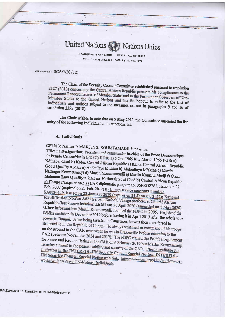**United Nations** Nations Unies

> **HEADQUARTERS . SIEGE** NEW YORK, NY 10017 TEL.: 1 (212) 963.1234 · FAX: 1 (212) 963.4879

## REFERENCE: SCA/1/20 (12)

The Chair of the Security Council Committee established pursuant to resolution 2127 (2013) concerning the Central African Republic presents his compliments to the Permanent Representatives of Member States and to the Permanent Observers of Non-Member States to the United Nations and has the honour to refer to the List of individuals and entities subject to the measures set-out in paragraphs 9 and 16 of resolution 2399 (2018).

The Chair wishes to note that on 5 May 2020, the Committee amended the list entry of the following individual on its sanctions list:

## A. Individuals

CFI.013: Name: 1: MARTIN 2: KOUMTAMADJI 3: na 4: na

Title: na Designation: President and commander-in-chief of the Front Democratique du Peuple Centrafricain (FDPC) DOB: a) 5 Oct. 1965 b) 3 March 1965 POB: a) Ndinaba, Chad b) Kobo, Central African Republic c) Kabo, Central African Republic Good Quality a.k.a.: a) Abdoulaye Miskine b) Abdoullaye Miskine c) Martin Nadingar Koumtamadji d) Martin Nkoumtamadji e) Martin Koumta Madji f) Omar Mahamat Low Quality a.k.a.: na Nationality: a) Chad b) Central African Republic c) Congo Passport no.: a) CAR diplomatic passport no. 06FBO2262, issued on 22 Feb. 2007 (expired on 21 Feb. 2012) b) Congo service passport number SA0020249, issued on 22 January 2019 (expires on 21 January 2022); National Identification No.: na Address: Am Dafock, Vakaga prefecture, Central African Republic (last known location) Listed on: 20 April 2020 (amended on 5 May 2020) Other information: Martin Koumtamadji founded the FDPC in 2005. He joined the Séléka coalition in December 2012 before leaving it in April 2013 after the rebels took power in Bangui. After being arrested in Cameroon, he was then transferred to Brazzaville in the Republic of Congo. He always remained in command of his troops on the ground in the CAR even when he was in Brazzaville before returning to the CAR (between November 2014 and 2019). The FDPC signed the Political Agreement for Peace and Reconciliation in the CAR on 6 February 2019 but Martin Kountamadji remains a threat to the peace, stability and security of the CAR. Photo available for inclusion in the INTERPOL-UN Security Council Special Notice. INTERPOL-UN Security Council Special Notice web link: https://www.interpol.int/en/How-wework/Notices/View-UN-Notices-Individuals.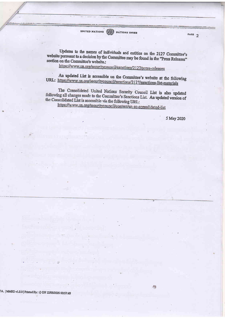UNITED NATIONS **SEE NATIONS** UNIES

Updates to the names of individuals and entities on the 2127 Committee's website pursuant to a decision by the Committee may be found in the "Press Releases" section on the Committee's website.:

https://www.un.org/securitycouncil/sanctions/2127/press-releases

An updated List is accessible on the Committee's website at the following URL: https://www.un.org/securitycouncil/sanctions/2127/sanctions-list-materials

The Consolidated United Nations Security Council List is also updated following all changes made to the Committee's Sanctions List. An updated version of the Consolidated List is accessible via the following URL:

https://www.un.org/securitycouncil/content/un-sc-consolidated-list

5 May 2020

PAGE  $2$ 

A JMMRS v1.0.0 | Printed By: 0 ON 12/05/2020 00:57:49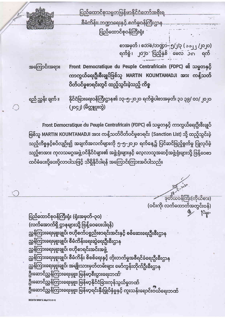

<u>ပြည်ထောင်စုသမ္မတမြန်မာနိုင်ငံတော်အစိုးရ</u> စီမံတိန်း၊ ဘဏ္ဍာရေးနှင့် စက်မှုဝန်ကြီးဌာန ပြည်ထောင်စုဝန်ကြီးရုံး

> စာအမှတ် ၊ စဘစ/ဘဏ္ဍာ–၂၅/၂/၃ ( ၁၁၂၂ /၂၀၂၀) ရက်စွဲ ၊ ၂၀၂၀ ပြည့်နှစ် မေလ ၁၈ ရက်

အကြောင်းအရာ။

Front Democratique du Peuple Centrafricain (FDPC) ၏ သမ္မတနှင့် ကာကွယ်ရေးဦးစီးချုပ်ဖြစ်သူ MARTIN KOUMTAMADJI အား ကန့်သတ် ပိတ်ပင်မှုစာရင်းတွင် ထည့်သွင်းခဲ့သည့် ကိစ္စ

ရည် ညွှန်း ချက် ။

နိုင်ငံခြားရေးဝန်ကြီးဌာန၏ ၁၃–၅–၂၀၂၀ ရက်စွဲပါစာအမှတ်၊ ၃၁ ၃၉/ ၀၁/၂၀၂၀ (၂၀၄၂) (မိတ္တူပူးတွဲ)

Front Democratique du Peuple Centrafricain (FDPC) ၏ သမ္မတနှင့် ကာကွယ်ရေးဦးစီးချုပ် ဖြစ်သူ MARTIN KOUMTAMADJI အား ကန့်သတ်ပိတ်ပင်မှုစာရင်း (Sanction List) သို့ ထည့်သွင်းခဲ့ သည့်ကိစ္စနှင့်စပ်လျဉ်း၍ အချက်အလက်များကို ၅–၅–၂၀၂၀ ရက်နေ့၌ ပြင်ဆင်ဖြည့်စွက်မှု ပြုလုပ်ခဲ့ သည့်စာအား ကုလသမဂ္ဂအဖွဲ့ဝင်နိုင်ငံများ၏ အဖွဲ့ရုံးများနှင့် လေ့လာသူအဆင့်အဖွဲ့ရုံးများသို့ ဖြန့်ဝေစာ ထပ်မံပေးပို့ပေးပို့လာပါသဖြင့် သိရှိနိုင်ပါရန် အကြောင်းကြားအပ်ပါသည်။

<u>ာတီထဝန်ကြီး(ကိုယ်စား)</u> (ဝင်းကို၊ လက်ထောက်အတွင်းဝန်) Pyp.

ပြည်ထောင်စုဝန်ကြီးရုံး (ရုံးအမှတ်-၃၀) (လက်အောက်ရှိ ဌာနများသို့ ဖြန့်ဝေပေးပါရန်) ညွှန်ကြားရေးမှူးချုပ်၊ ဗဟိုစက်ပစ္စည်းစာရင်းအင်းနှင့် စစ်ဆေးရေးဦးစီးဌာန ညွှန်ကြားရေးမှူးချုပ်၊ စီမံကိန်းရေးဆွဲရေးဦးစီးဌာန ညွှန်ကြားရေးမှူးချုပ်၊ ဗဟိုစာရင်းအင်းအဖွဲ့ ညွှန်ကြားရေးမှူးချုပ်၊ စီမံကိန်း စိစစ်ရေးနှင့် တိုးတက်မှုအစီရင်ခံရေးဦးစီးဌာန ညွှန်ကြားရေးမှူးချုပ်၊ အမျိုးသားမှတ်တမ်းများ မော်ကွန်းတိုက်ဦးစီးဌာန ဦးဆောင်ညွှန်ကြားရေးမှူး၊ မြန်မာ့စီးပွားရေးဘဏ်' ဦးဆောင်ညွှန်ကြားရေးမှူး၊ မြန်မာ့နိုင်ငံခြားကုန်သွယ်မှုဘဏ် ဦးဆောင်ညွှန်ကြားရေးမှူး၊ မြန်မာ့ရင်းနှီးမြှုပ်နှံမှုနှင့် ကူးသန်းရောင်းဝယ်ရေးဘဏ်